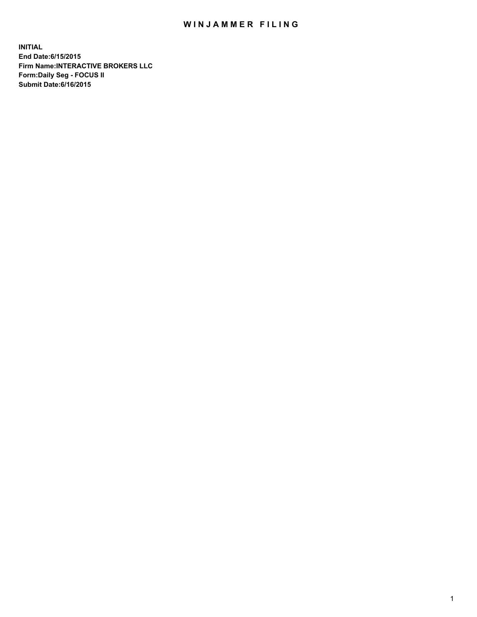## WIN JAMMER FILING

**INITIAL End Date:6/15/2015 Firm Name:INTERACTIVE BROKERS LLC Form:Daily Seg - FOCUS II Submit Date:6/16/2015**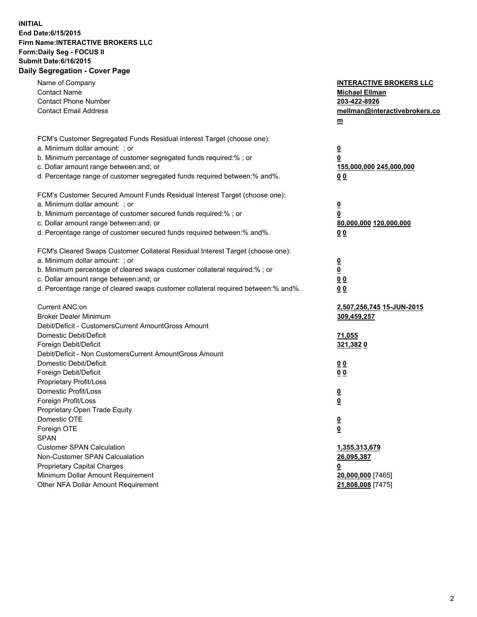## **INITIAL End Date:6/15/2015 Firm Name:INTERACTIVE BROKERS LLC Form:Daily Seg - FOCUS II Submit Date:6/16/2015 Daily Segregation - Cover Page**

| Name of Company<br><b>Contact Name</b><br><b>Contact Phone Number</b><br><b>Contact Email Address</b>    | <b>INTERACTIVE BROKERS LLC</b><br><b>Michael Ellman</b><br>203-422-8926<br>mellman@interactivebrokers.co<br>$m$ |
|----------------------------------------------------------------------------------------------------------|-----------------------------------------------------------------------------------------------------------------|
| FCM's Customer Segregated Funds Residual Interest Target (choose one):<br>a. Minimum dollar amount: ; or | $\overline{\mathbf{0}}$                                                                                         |
| b. Minimum percentage of customer segregated funds required:% ; or                                       | 0                                                                                                               |
| c. Dollar amount range between: and; or                                                                  | 155,000,000 245,000,000                                                                                         |
| d. Percentage range of customer segregated funds required between:% and%.                                | 0 <sub>0</sub>                                                                                                  |
| FCM's Customer Secured Amount Funds Residual Interest Target (choose one):                               |                                                                                                                 |
| a. Minimum dollar amount: ; or                                                                           | $\overline{\mathbf{0}}$                                                                                         |
| b. Minimum percentage of customer secured funds required:% ; or                                          | 0                                                                                                               |
| c. Dollar amount range between: and; or                                                                  | 80,000,000 120,000,000                                                                                          |
| d. Percentage range of customer secured funds required between:% and%.                                   | 0 <sub>0</sub>                                                                                                  |
| FCM's Cleared Swaps Customer Collateral Residual Interest Target (choose one):                           |                                                                                                                 |
| a. Minimum dollar amount: ; or                                                                           | $\overline{\mathbf{0}}$                                                                                         |
| b. Minimum percentage of cleared swaps customer collateral required:% ; or                               | $\overline{\mathbf{0}}$                                                                                         |
| c. Dollar amount range between: and; or                                                                  | 0 <sub>0</sub>                                                                                                  |
| d. Percentage range of cleared swaps customer collateral required between:% and%.                        | 0 <sub>0</sub>                                                                                                  |
| Current ANC:on                                                                                           | 2,507,256,745 15-JUN-2015                                                                                       |
| <b>Broker Dealer Minimum</b>                                                                             | 309,459,257                                                                                                     |
| Debit/Deficit - CustomersCurrent AmountGross Amount                                                      |                                                                                                                 |
| Domestic Debit/Deficit                                                                                   | 71,055                                                                                                          |
| Foreign Debit/Deficit                                                                                    | 321,3820                                                                                                        |
| Debit/Deficit - Non CustomersCurrent AmountGross Amount                                                  |                                                                                                                 |
| Domestic Debit/Deficit                                                                                   | 0 <sub>0</sub>                                                                                                  |
| Foreign Debit/Deficit                                                                                    | 0 <sub>0</sub>                                                                                                  |
| Proprietary Profit/Loss                                                                                  |                                                                                                                 |
| Domestic Profit/Loss                                                                                     | $\overline{\mathbf{0}}$                                                                                         |
| Foreign Profit/Loss                                                                                      | $\underline{\mathbf{0}}$                                                                                        |
| Proprietary Open Trade Equity                                                                            |                                                                                                                 |
| Domestic OTE                                                                                             | <u>0</u>                                                                                                        |
| Foreign OTE                                                                                              | <u>0</u>                                                                                                        |
| <b>SPAN</b><br><b>Customer SPAN Calculation</b>                                                          |                                                                                                                 |
| Non-Customer SPAN Calcualation                                                                           | 1,355,313,679                                                                                                   |
| Proprietary Capital Charges                                                                              | 26,095,387                                                                                                      |
| Minimum Dollar Amount Requirement                                                                        | <u>0</u><br>20,000,000 [7465]                                                                                   |
| Other NFA Dollar Amount Requirement                                                                      | 21,808,008 [7475]                                                                                               |
|                                                                                                          |                                                                                                                 |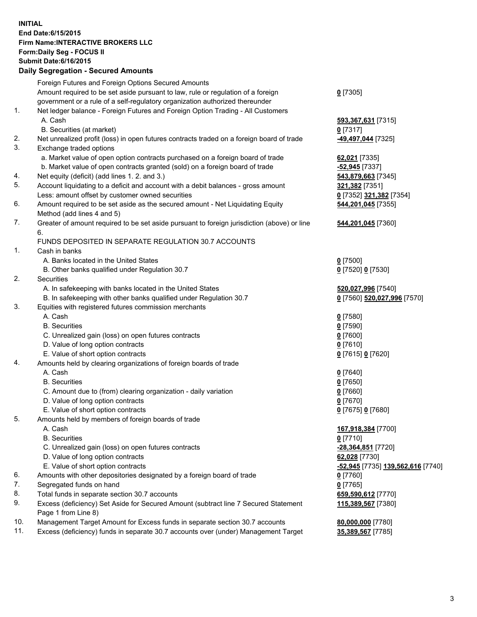## **INITIAL End Date:6/15/2015 Firm Name:INTERACTIVE BROKERS LLC Form:Daily Seg - FOCUS II Submit Date:6/16/2015 Daily Segregation - Secured Amounts**

|                | Daily Jegregation - Jeculed Aniounts                                                        |                                   |
|----------------|---------------------------------------------------------------------------------------------|-----------------------------------|
|                | Foreign Futures and Foreign Options Secured Amounts                                         |                                   |
|                | Amount required to be set aside pursuant to law, rule or regulation of a foreign            | $0$ [7305]                        |
|                | government or a rule of a self-regulatory organization authorized thereunder                |                                   |
| 1.             | Net ledger balance - Foreign Futures and Foreign Option Trading - All Customers             |                                   |
|                | A. Cash                                                                                     | 593,367,631 [7315]                |
|                | B. Securities (at market)                                                                   | $0$ [7317]                        |
| 2.             | Net unrealized profit (loss) in open futures contracts traded on a foreign board of trade   | -49,497,044 [7325]                |
| 3.             | Exchange traded options                                                                     |                                   |
|                | a. Market value of open option contracts purchased on a foreign board of trade              | 62,021 [7335]                     |
|                | b. Market value of open contracts granted (sold) on a foreign board of trade                | -52,945 [7337]                    |
| 4.             | Net equity (deficit) (add lines 1. 2. and 3.)                                               | 543,879,663 [7345]                |
| 5.             | Account liquidating to a deficit and account with a debit balances - gross amount           | 321,382 [7351]                    |
|                | Less: amount offset by customer owned securities                                            | 0 [7352] 321,382 [7354]           |
| 6.             | Amount required to be set aside as the secured amount - Net Liquidating Equity              | 544,201,045 [7355]                |
|                | Method (add lines 4 and 5)                                                                  |                                   |
| 7.             | Greater of amount required to be set aside pursuant to foreign jurisdiction (above) or line | 544,201,045 [7360]                |
|                | 6.                                                                                          |                                   |
|                | FUNDS DEPOSITED IN SEPARATE REGULATION 30.7 ACCOUNTS                                        |                                   |
| $\mathbf{1}$ . | Cash in banks                                                                               |                                   |
|                | A. Banks located in the United States                                                       | $0$ [7500]                        |
|                | B. Other banks qualified under Regulation 30.7                                              | 0 [7520] 0 [7530]                 |
| 2.             | Securities                                                                                  |                                   |
|                | A. In safekeeping with banks located in the United States                                   | 520,027,996 [7540]                |
|                | B. In safekeeping with other banks qualified under Regulation 30.7                          | 0 [7560] 520,027,996 [7570]       |
| 3.             | Equities with registered futures commission merchants                                       |                                   |
|                | A. Cash                                                                                     | $0$ [7580]                        |
|                | <b>B.</b> Securities                                                                        | $0$ [7590]                        |
|                | C. Unrealized gain (loss) on open futures contracts                                         | $0$ [7600]                        |
|                | D. Value of long option contracts                                                           | $0$ [7610]                        |
|                | E. Value of short option contracts                                                          | 0 [7615] 0 [7620]                 |
| 4.             | Amounts held by clearing organizations of foreign boards of trade                           |                                   |
|                | A. Cash                                                                                     | $0$ [7640]                        |
|                | <b>B.</b> Securities                                                                        | $0$ [7650]                        |
|                | C. Amount due to (from) clearing organization - daily variation                             | $0$ [7660]                        |
|                | D. Value of long option contracts                                                           | $0$ [7670]                        |
|                | E. Value of short option contracts                                                          | 0 [7675] 0 [7680]                 |
| 5.             | Amounts held by members of foreign boards of trade                                          |                                   |
|                | A. Cash                                                                                     | 167,918,384 [7700]                |
|                | <b>B.</b> Securities                                                                        | $0$ [7710]                        |
|                | C. Unrealized gain (loss) on open futures contracts                                         | -28,364,851 [7720]                |
|                | D. Value of long option contracts                                                           | 62,028 [7730]                     |
|                | E. Value of short option contracts                                                          | -52,945 [7735] 139,562,616 [7740] |
| 6.             | Amounts with other depositories designated by a foreign board of trade                      | $0$ [7760]                        |
| 7.             | Segregated funds on hand                                                                    | $0$ [7765]                        |
| 8.             | Total funds in separate section 30.7 accounts                                               | 659,590,612 [7770]                |
| 9.             | Excess (deficiency) Set Aside for Secured Amount (subtract line 7 Secured Statement         | 115,389,567 [7380]                |
|                | Page 1 from Line 8)                                                                         |                                   |
| 10.            | Management Target Amount for Excess funds in separate section 30.7 accounts                 | 80,000,000 [7780]                 |
| 11.            | Excess (deficiency) funds in separate 30.7 accounts over (under) Management Target          | 35,389,567 [7785]                 |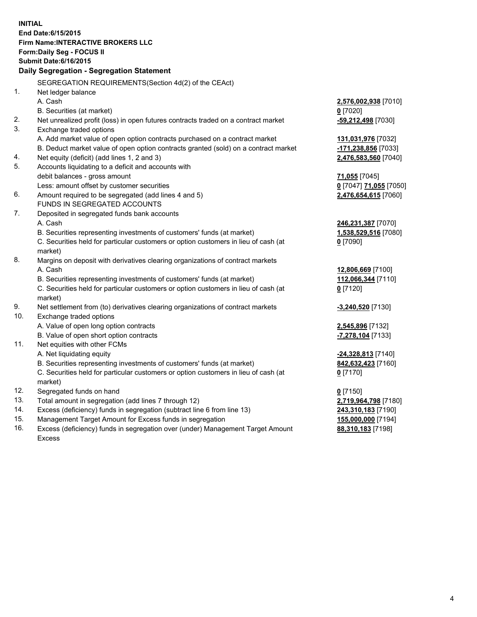**INITIAL End Date:6/15/2015 Firm Name:INTERACTIVE BROKERS LLC Form:Daily Seg - FOCUS II Submit Date:6/16/2015 Daily Segregation - Segregation Statement** SEGREGATION REQUIREMENTS(Section 4d(2) of the CEAct) 1. Net ledger balance A. Cash **2,576,002,938** [7010] B. Securities (at market) **0** [7020] 2. Net unrealized profit (loss) in open futures contracts traded on a contract market **-59,212,498** [7030] 3. Exchange traded options A. Add market value of open option contracts purchased on a contract market **131,031,976** [7032] B. Deduct market value of open option contracts granted (sold) on a contract market **-171,238,856** [7033] 4. Net equity (deficit) (add lines 1, 2 and 3) **2,476,583,560** [7040] 5. Accounts liquidating to a deficit and accounts with debit balances - gross amount **71,055** [7045] Less: amount offset by customer securities **0** [7047] **71,055** [7050] 6. Amount required to be segregated (add lines 4 and 5) **2,476,654,615** [7060] FUNDS IN SEGREGATED ACCOUNTS 7. Deposited in segregated funds bank accounts A. Cash **246,231,387** [7070] B. Securities representing investments of customers' funds (at market) **1,538,529,516** [7080] C. Securities held for particular customers or option customers in lieu of cash (at market) **0** [7090] 8. Margins on deposit with derivatives clearing organizations of contract markets A. Cash **12,806,669** [7100] B. Securities representing investments of customers' funds (at market) **112,066,344** [7110] C. Securities held for particular customers or option customers in lieu of cash (at market) **0** [7120] 9. Net settlement from (to) derivatives clearing organizations of contract markets **-3,240,520** [7130] 10. Exchange traded options A. Value of open long option contracts **2,545,896** [7132] B. Value of open short option contracts **-7,278,104** [7133] 11. Net equities with other FCMs A. Net liquidating equity **-24,328,813** [7140] B. Securities representing investments of customers' funds (at market) **842,632,423** [7160] C. Securities held for particular customers or option customers in lieu of cash (at market) **0** [7170] 12. Segregated funds on hand **0** [7150] 13. Total amount in segregation (add lines 7 through 12) **2,719,964,798** [7180] 14. Excess (deficiency) funds in segregation (subtract line 6 from line 13) **243,310,183** [7190] 15. Management Target Amount for Excess funds in segregation **155,000,000** [7194]

16. Excess (deficiency) funds in segregation over (under) Management Target Amount Excess

**88,310,183** [7198]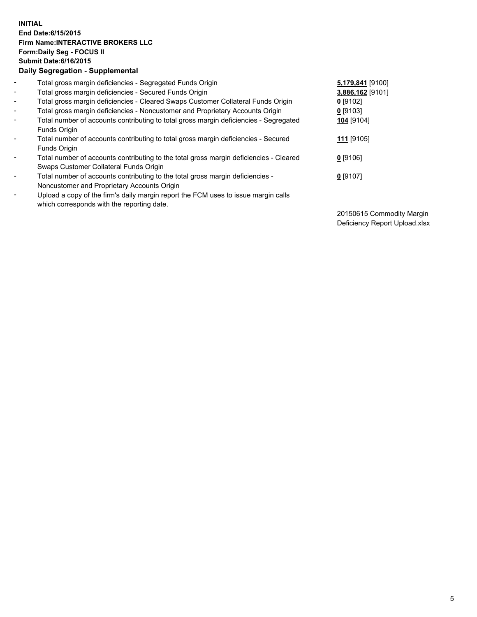## **INITIAL End Date:6/15/2015 Firm Name:INTERACTIVE BROKERS LLC Form:Daily Seg - FOCUS II Submit Date:6/16/2015 Daily Segregation - Supplemental**

| $\blacksquare$           | Total gross margin deficiencies - Segregated Funds Origin                              | 5,179,841 [9100] |
|--------------------------|----------------------------------------------------------------------------------------|------------------|
| $\blacksquare$           | Total gross margin deficiencies - Secured Funds Origin                                 | 3,886,162 [9101] |
| $\blacksquare$           | Total gross margin deficiencies - Cleared Swaps Customer Collateral Funds Origin       | $0$ [9102]       |
| $\sim$                   | Total gross margin deficiencies - Noncustomer and Proprietary Accounts Origin          | $0$ [9103]       |
| $\blacksquare$           | Total number of accounts contributing to total gross margin deficiencies - Segregated  | 104 [9104]       |
|                          | Funds Origin                                                                           |                  |
| $\blacksquare$           | Total number of accounts contributing to total gross margin deficiencies - Secured     | 111 [9105]       |
|                          | <b>Funds Origin</b>                                                                    |                  |
| $\overline{\phantom{a}}$ | Total number of accounts contributing to the total gross margin deficiencies - Cleared | $0$ [9106]       |
|                          | Swaps Customer Collateral Funds Origin                                                 |                  |
| $\blacksquare$           | Total number of accounts contributing to the total gross margin deficiencies -         | $0$ [9107]       |
|                          | Noncustomer and Proprietary Accounts Origin                                            |                  |
| $\blacksquare$           | Upload a copy of the firm's daily margin report the FCM uses to issue margin calls     |                  |
|                          | which corresponds with the reporting date.                                             |                  |

20150615 Commodity Margin Deficiency Report Upload.xlsx